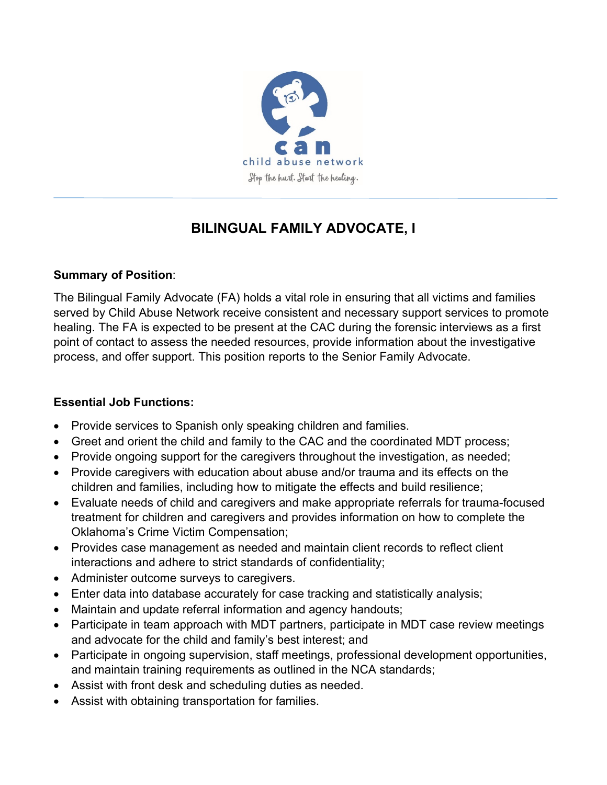

# **BILINGUAL FAMILY ADVOCATE, I**

# **Summary of Position**:

The Bilingual Family Advocate (FA) holds a vital role in ensuring that all victims and families served by Child Abuse Network receive consistent and necessary support services to promote healing. The FA is expected to be present at the CAC during the forensic interviews as a first point of contact to assess the needed resources, provide information about the investigative process, and offer support. This position reports to the Senior Family Advocate.

# **Essential Job Functions:**

- Provide services to Spanish only speaking children and families.
- Greet and orient the child and family to the CAC and the coordinated MDT process;
- Provide ongoing support for the caregivers throughout the investigation, as needed;
- Provide caregivers with education about abuse and/or trauma and its effects on the children and families, including how to mitigate the effects and build resilience;
- Evaluate needs of child and caregivers and make appropriate referrals for trauma-focused treatment for children and caregivers and provides information on how to complete the Oklahoma's Crime Victim Compensation;
- Provides case management as needed and maintain client records to reflect client interactions and adhere to strict standards of confidentiality;
- Administer outcome surveys to caregivers.
- Enter data into database accurately for case tracking and statistically analysis;
- Maintain and update referral information and agency handouts;
- Participate in team approach with MDT partners, participate in MDT case review meetings and advocate for the child and family's best interest; and
- Participate in ongoing supervision, staff meetings, professional development opportunities, and maintain training requirements as outlined in the NCA standards;
- Assist with front desk and scheduling duties as needed.
- Assist with obtaining transportation for families.